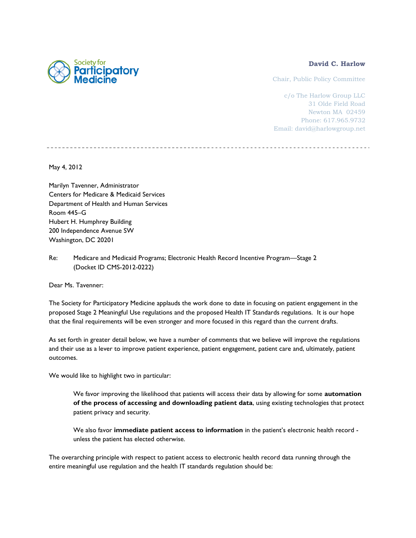### **David C. Harlow**

Chair, Public Policy Committee

c/o The Harlow Group LLC 31 Olde Field Road Newton MA 02459 Phone: 617.965.9732 Email: david@harlowgroup.net

May 4, 2012

Marilyn Tavenner, Administrator Centers for Medicare & Medicaid Services Department of Health and Human Services Room 445–G Hubert H. Humphrey Building 200 Independence Avenue SW Washington, DC 20201

Re: Medicare and Medicaid Programs; Electronic Health Record Incentive Program—Stage 2 (Docket ID CMS-2012-0222)

Dear Ms. Tavenner:

The Society for Participatory Medicine applauds the work done to date in focusing on patient engagement in the proposed Stage 2 Meaningful Use regulations and the proposed Health IT Standards regulations. It is our hope that the final requirements will be even stronger and more focused in this regard than the current drafts.

As set forth in greater detail below, we have a number of comments that we believe will improve the regulations and their use as a lever to improve patient experience, patient engagement, patient care and, ultimately, patient outcomes.

We would like to highlight two in particular:

We favor improving the likelihood that patients will access their data by allowing for some **automation of the process of accessing and downloading patient data**, using existing technologies that protect patient privacy and security.

We also favor **immediate patient access to information** in the patient's electronic health record unless the patient has elected otherwise.

The overarching principle with respect to patient access to electronic health record data running through the entire meaningful use regulation and the health IT standards regulation should be:

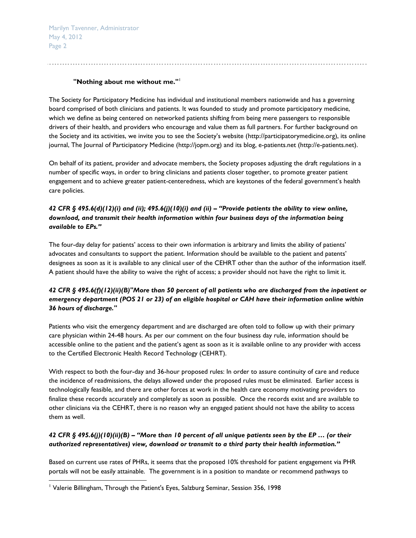Marilyn Tavenner, Administrator May 4, 2012 Page 2

#### **"Nothing about me without me."**<sup>1</sup>

The Society for Participatory Medicine has individual and institutional members nationwide and has a governing board comprised of both clinicians and patients. It was founded to study and promote participatory medicine, which we define as being centered on networked patients shifting from being mere passengers to responsible drivers of their health, and providers who encourage and value them as full partners. For further background on the Society and its activities, we invite you to see the Society's website ([http://participatorymedicine.org\)](http://participatorymedicine.org/), its online journal, The Journal of Participatory Medicine [\(http://jopm.org\)](http://jopm.org/) and its blog, e-patients.net [\(http://e-patients.net\)](http://e-patients.net/).

On behalf of its patient, provider and advocate members, the Society proposes adjusting the draft regulations in a number of specific ways, in order to bring clinicians and patients closer together, to promote greater patient engagement and to achieve greater patient-centeredness, which are keystones of the federal government's health care policies.

## *42 CFR § 495.6(d)(12)(i) and (ii); 495.6(j)(10)(i) and (ii) – "Provide patients the ability to view online, download, and transmit their health information within four business days of the information being available to EPs."*

The four-day delay for patients' access to their own information is arbitrary and limits the ability of patients' advocates and consultants to support the patient. Information should be available to the patient and patents' designees as soon as it is available to any clinical user of the CEHRT other than the author of the information itself. A patient should have the ability to waive the right of access; a provider should not have the right to limit it.

# *42 CFR § 495.6(f)(12)(ii)(B)"More than 50 percent of all patients who are discharged from the inpatient or emergency department (POS 21 or 23) of an eligible hospital or CAH have their information online within 36 hours of discharge."*

Patients who visit the emergency department and are discharged are often told to follow up with their primary care physician within 24-48 hours. As per our comment on the four business day rule, information should be accessible online to the patient and the patient's agent as soon as it is available online to any provider with access to the Certified Electronic Health Record Technology (CEHRT).

With respect to both the four-day and 36-hour proposed rules: In order to assure continuity of care and reduce the incidence of readmissions, the delays allowed under the proposed rules must be eliminated. Earlier access is technologically feasible, and there are other forces at work in the health care economy motivating providers to finalize these records accurately and completely as soon as possible. Once the records exist and are available to other clinicians via the CEHRT, there is no reason why an engaged patient should not have the ability to access them as well.

## *42 CFR § 495.6(j)(10)(ii)(B) – "More than 10 percent of all unique patients seen by the EP … (or their authorized representatives) view, download or transmit to a third party their health information."*

Based on current use rates of PHRs, it seems that the proposed 10% threshold for patient engagement via PHR portals will not be easily attainable. The government is in a position to mandate or recommend pathways to

l

<sup>&</sup>lt;sup>1</sup> Valerie Billingham, Through the Patient's Eyes, Salzburg Seminar, Session 356, 1998